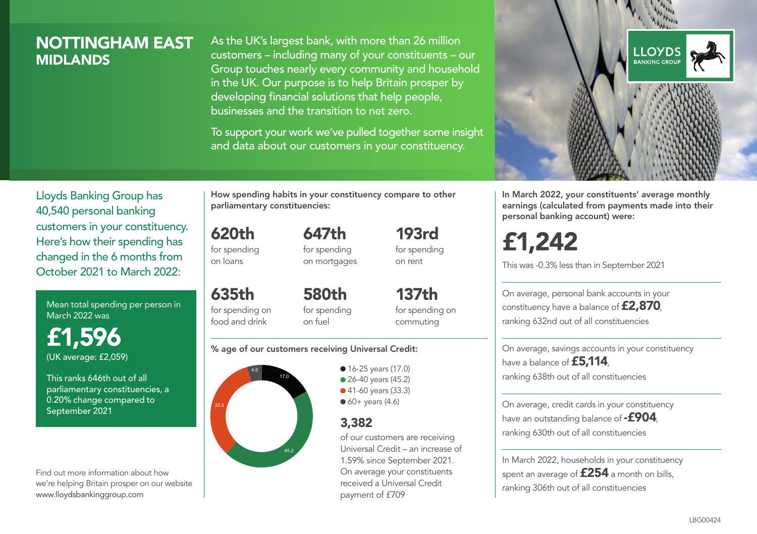## NOTTINGHAM EAST **MIDI ANDS**

As the UK's largest bank, with more than 26 million customers – including many of your constituents – our Group touches nearly every community and household in the UK. Our purpose is to help Britain prosper by developing financial solutions that help people, businesses and the transition to net zero.

To support your work we've pulled together some insight and data about our customers in your constituency.



Mean total spending per person in March 2022 was

£1,596 (UK average: £2,059)

This ranks 646th out of all parliamentary constituencies, a 0.20% change compared to September 2021

Find out more information about how we're helping Britain prosper on our website www.lloydsbankinggroup.com

How spending habits in your constituency compare to other parliamentary constituencies:

647th

620th for spending

on loans

for spending on mortgages

635th for spending on food and drink 580th for spending on fuel

137th for spending on commuting

193rd for spending on rent

#### % age of our customers receiving Universal Credit:



**16-25 years (17.0)** ● 26-40 years (45.2) ● 41-60 years (33.3)  $60+$  years (4.6)

### 3,382

of our customers are receiving Universal Credit – an increase of 1.59% since September 2021. On average your constituents received a Universal Credit payment of £709



In March 2022, your constituents' average monthly earnings (calculated from payments made into their personal banking account) were:

£1,242

This was -0.3% less than in September 2021

On average, personal bank accounts in your constituency have a balance of £2,870, ranking 632nd out of all constituencies

On average, savings accounts in your constituency have a balance of **£5,114**, ranking 638th out of all constituencies

On average, credit cards in your constituency have an outstanding balance of  $-$ £904, ranking 630th out of all constituencies

In March 2022, households in your constituency spent an average of £254 a month on bills, ranking 306th out of all constituencies